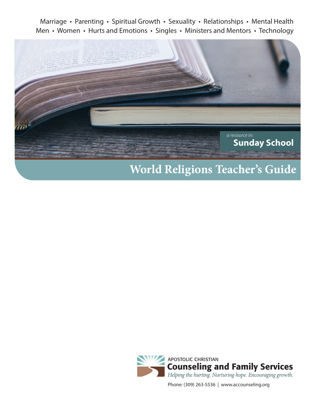Marriage • Parenting • Spiritual Growth • Sexuality • Relationships • Mental Health Men • Women • Hurts and Emotions • Singles • Ministers and Mentors • Technology



# **World Religions Teacher's Guide**



Phone: (309) 263-5536 | www.accounseling.org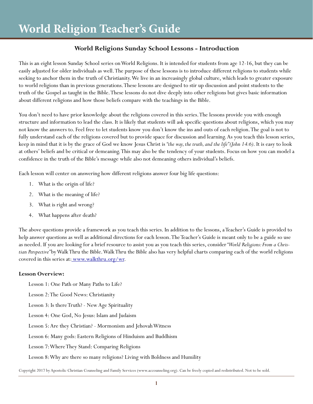# **World Religions Sunday School Lessons - Introduction**

This is an eight lesson Sunday School series on World Religions. It is intended for students from age 12-16, but they can be easily adjusted for older individuals as well. The purpose of these lessons is to introduce different religions to students while seeking to anchor them in the truth of Christianity. We live in an increasingly global culture, which leads to greater exposure to world religions than in previous generations. These lessons are designed to stir up discussion and point students to the truth of the Gospel as taught in the Bible. These lessons do not dive deeply into other religions but gives basic information about different religions and how those beliefs compare with the teachings in the Bible.

You don't need to have prior knowledge about the religions covered in this series. The lessons provide you with enough structure and information to lead the class. It is likely that students will ask specific questions about religions, which you may not know the answers to. Feel free to let students know you don't know the ins and outs of each religion. The goal is not to fully understand each of the religions covered but to provide space for discussion and learning. As you teach this lesson series, keep in mind that it is by the grace of God we know Jesus Christ is *"the way, the truth, and the life" (John 14:6)*. It is easy to look at others' beliefs and be critical or demeaning. This may also be the tendency of your students. Focus on how you can model a confidence in the truth of the Bible's message while also not demeaning others individual's beliefs.

Each lesson will center on answering how different religions answer four big life questions:

- 1. What is the origin of life?
- 2. What is the meaning of life?
- 3. What is right and wrong?
- 4. What happens after death?

The above questions provide a framework as you teach this series. In addition to the lessons, a Teacher's Guide is provided to help answer questions as well as additional directions for each lesson. The Teacher's Guide is meant only to be a guide so use as needed. If you are looking for a brief resource to assist you as you teach this series, consider *"World Religions: From a Christian Perspective"* by Walk Thru the Bible. Walk Thru the Bible also has very helpful charts comparing each of the world religions covered in this series at: www.walkthru.org/wr.

## **Lesson Overview:**

Lesson 1: One Path or Many Paths to Life?

Lesson 2: The Good News: Christianity

Lesson 3: Is there Truth? - New Age Spirituality

Lesson 4: One God, No Jesus: Islam and Judaism

Lesson 5: Are they Christian? - Mormonism and Jehovah Witness

Lesson 6: Many gods: Eastern Religions of Hinduism and Buddhism

Lesson 7: Where They Stand: Comparing Religions

Lesson 8: Why are there so many religions? Living with Boldness and Humility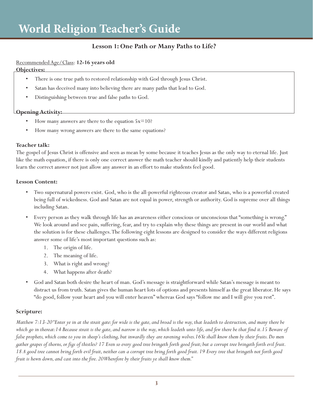# **Lesson 1: One Path or Many Paths to Life?**

# Recommended Age/Class: **12-16 years old**

## **Objectives:**

- There is one true path to restored relationship with God through Jesus Christ.
- Satan has deceived many into believing there are many paths that lead to God.
- Distinguishing between true and false paths to God.

# **Opening Activity:**

- How many answers are there to the equation  $5x=10$ ?
- How many wrong answers are there to the same equations?

## **Teacher talk:**

The gospel of Jesus Christ is offensive and seen as mean by some because it teaches Jesus as the only way to eternal life. Just like the math equation, if there is only one correct answer the math teacher should kindly and patiently help their students learn the correct answer not just allow any answer in an effort to make students feel good.

## **Lesson Content:**

- Two supernatural powers exist. God, who is the all-powerful righteous creator and Satan, who is a powerful created being full of wickedness. God and Satan are not equal in power, strength or authority. God is supreme over all things including Satan.
- Every person as they walk through life has an awareness either conscious or unconscious that "something is wrong." We look around and see pain, suffering, fear, and try to explain why these things are present in our world and what the solution is for these challenges. The following eight lessons are designed to consider the ways different religions answer some of life's most important questions such as:
	- 1. The origin of life.
	- 2. The meaning of life.
	- 3. What is right and wrong?
	- 4. What happens after death?
- God and Satan both desire the heart of man. God's message is straightforward while Satan's message is meant to distract us from truth. Satan gives the human heart lots of options and presents himself as the great liberator. He says "do good, follow your heart and you will enter heaven" whereas God says "follow me and I will give you rest".

# **Scripture:**

*Matthew 7:13-20 "Enter ye in at the strait gate: for wide is the gate, and broad is the way, that leadeth to destruction, and many there be which go in thereat:14 Because strait is the gate, and narrow is the way, which leadeth unto life, and few there be that find it.15 Beware of false prophets, which come to you in sheep's clothing, but inwardly they are ravening wolves.16Ye shall know them by their fruits. Do men gather grapes of thorns, or figs of thistles? 17 Even so every good tree bringeth forth good fruit; but a corrupt tree bringeth forth evil fruit.*  18 A good tree cannot bring forth evil fruit, neither can a corrupt tree bring forth good fruit. 19 Every tree that bringeth not forth good *fruit is hewn down, and cast into the fire. 20 Wherefore by their fruits ye shall know them."*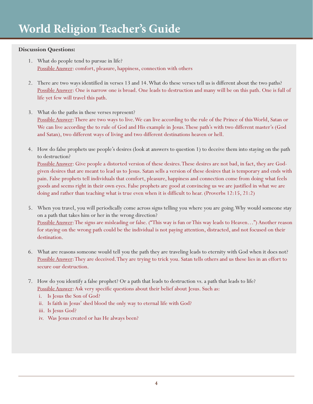## **Discussion Questions:**

- 1. What do people tend to pursue in life? Possible Answer: comfort, pleasure, happiness, connection with others
- 2. There are two ways identified in verses 13 and 14. What do these verses tell us is different about the two paths? Possible Answer: One is narrow one is broad. One leads to destruction and many will be on this path. One is full of life yet few will travel this path.
- 3. What do the paths in these verses represent? Possible Answer: There are two ways to live. We can live according to the rule of the Prince of this World, Satan or We can live according the to rule of God and His example in Jesus. These path's with two different master's (God and Satan), two different ways of living and two different destinations heaven or hell.
- 4. How do false prophets use people's desires (look at answers to question 1) to deceive them into staying on the path to destruction?

Possible Answer: Give people a distorted version of these desires. These desires are not bad, in fact, they are Godgiven desires that are meant to lead us to Jesus. Satan sells a version of these desires that is temporary and ends with pain. False prophets tell individuals that comfort, pleasure, happiness and connection come from doing what feels goods and seems right in their own eyes. False prophets are good at convincing us we are justified in what we are doing and rather than teaching what is true even when it is difficult to hear. (Proverbs 12:15, 21:2)

- 5. When you travel, you will periodically come across signs telling you where you are going. Why would someone stay on a path that takes him or her in the wrong direction? Possible Answer: The signs are misleading or false. ("This way is fun or This way leads to Heaven…") Another reason for staying on the wrong path could be the individual is not paying attention, distracted, and not focused on their destination.
- 6. What are reasons someone would tell you the path they are traveling leads to eternity with God when it does not? Possible Answer: They are deceived. They are trying to trick you. Satan tells others and us these lies in an effort to secure our destruction.
- 7. How do you identify a false prophet? Or a path that leads to destruction vs. a path that leads to life? Possible Answer: Ask very specific questions about their belief about Jesus. Such as:
	- i. Is Jesus the Son of God?
	- ii. Is faith in Jesus' shed blood the only way to eternal life with God?
	- iii. Is Jesus God?
	- iv. Was Jesus created or has He always been?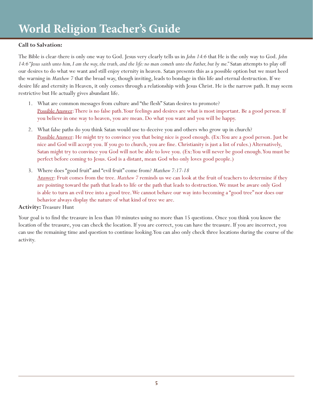# **Call to Salvation:**

The Bible is clear-there is only one way to God. Jesus very clearly tells us in *John 14:6* that He is the only way to God. *John 14:6 "Jesus saith unto him, I am the way, the truth, and the life: no man cometh unto the Father, but by me."* Satan attempts to play off our desires to do what we want and still enjoy eternity in heaven. Satan presents this as a possible option but we must heed the warning in *Matthew 7* that the broad way, though inviting, leads to bondage in this life and eternal destruction. If we desire life and eternity in Heaven, it only comes through a relationship with Jesus Christ. He is the narrow path. It may seem restrictive but He actually gives abundant life.

- 1. What are common messages from culture and "the flesh" Satan desires to promote? Possible Answer: There is no false path. Your feelings and desires are what is most important. Be a good person. If you believe in one way to heaven, you are mean. Do what you want and you will be happy.
- 2. What false paths do you think Satan would use to deceive you and others who grow up in church? Possible Answer: He might try to convince you that being nice is good enough. (Ex: You are a good person. Just be nice and God will accept you. If you go to church, you are fine. Christianity is just a list of rules.) Alternatively, Satan might try to convince you God will not be able to love you. (Ex: You will never be good enough. You must be perfect before coming to Jesus. God is a distant, mean God who only loves good people.)
- 3. Where does "good fruit" and "evil fruit" come from? *Matthew 7:17-18* Answer: Fruit comes from the tree. *Matthew 7* reminds us we can look at the fruit of teachers to determine if they are pointing toward the path that leads to life or the path that leads to destruction. We must be aware only God is able to turn an evil tree into a good tree. We cannot behave our way into becoming a "good tree" nor does our behavior always display the nature of what kind of tree we are.

## **Activity:** Treasure Hunt

Your goal is to find the treasure in less than 10 minutes using no more than 15 questions. Once you think you know the location of the treasure, you can check the location. If you are correct, you can have the treasure. If you are incorrect, you can use the remaining time and question to continue looking. You can also only check three locations during the course of the activity.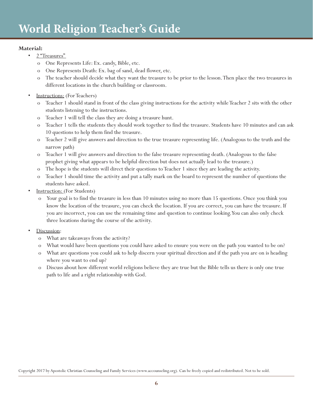## **Material:**

- 2 "Treasures"
	- o One Represents Life: Ex. candy, Bible, etc.
	- One Represents Death: Ex. bag of sand, dead flower, etc.
	- o The teacher should decide what they want the treasure to be prior to the lesson. Then place the two treasures in different locations in the church building or classroom.
- Instructions: (For Teachers)
	- o Teacher 1 should stand in front of the class giving instructions for the activity while Teacher 2 sits with the other students listening to the instructions.
	- o Teacher 1 will tell the class they are doing a treasure hunt.
	- o Teacher 1 tells the students they should work together to find the treasure. Students have 10 minutes and can ask 10 questions to help them find the treasure.
	- o Teacher 2 will give answers and direction to the true treasure representing life. (Analogous to the truth and the narrow path)
	- o Teacher 1 will give answers and direction to the false treasure representing death. (Analogous to the false prophet giving what appears to be helpful direction but does not actually lead to the treasure.)
	- o The hope is the students will direct their questions to Teacher 1 since they are leading the activity.
	- o Teacher 1 should time the activity and put a tally mark on the board to represent the number of questions the students have asked.
- Instruction: (For Students)
	- Your goal is to find the treasure in less than 10 minutes using no more than 15 questions. Once you think you know the location of the treasure, you can check the location. If you are correct, you can have the treasure. If you are incorrect, you can use the remaining time and question to continue looking. You can also only check three locations during the course of the activity.
- Discussion:
	- o What are takeaways from the activity?
	- o What would have been questions you could have asked to ensure you were on the path you wanted to be on?
	- o What are questions you could ask to help discern your spiritual direction and if the path you are on is heading where you want to end up?
	- o Discuss about how different world religions believe they are true but the Bible tells us there is only one true path to life and a right relationship with God.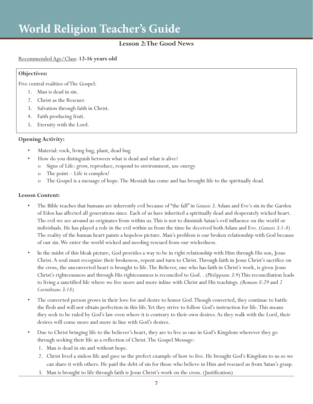## **Lesson 2: The Good News**

## Recommended Age/Class: **12-16 years old**

#### **Objectives:**

Five central realities of The Gospel:

- 1. Man is dead in sin.
- 2. Christ as the Rescuer.
- 3. Salvation through faith in Christ.
- 4. Faith producing fruit.
- 5. Eternity with the Lord.

## **Opening Activity:**

- Material: rock, living bug, plant, dead bug
- How do you distinguish between what is dead and what is alive?
	- o Signs of Life: grow, reproduce, respond to environment, use energy
	- o The point Life is complex!
	- o The Gospel is a message of hope. The Messiah has come and has brought life to the spiritually dead.

## **Lesson Content:**

- The Bible teaches that humans are inherently evil because of "the fall" in *Genesis 3*. Adam and Eve's sin in the Garden of Eden has affected all generations since. Each of us have inherited a spiritually dead and desperately wicked heart. The evil we see around us originates from within us. This is not to diminish Satan's evil influence on the world or individuals. He has played a role in the evil within us from the time he deceived both Adam and Eve. (*Genesis 3:1-8*) The reality of the human heart paints a hopeless picture. Man's problem is our broken relationship with God because of our sin. We enter the world wicked and needing rescued from our wickedness.
- In the midst of this bleak picture, God provides a way to be in right relationship with Him through His son, Jesus Christ. A soul must recognize their brokeness, repent and turn to Christ. Through faith in Jesus Christ's sacrifice on the cross, the unconverted heart is brought to life. The Believer, one who has faith in Christ's work, is given Jesus Christ's righteousness and through His righteousness is reconciled to God. . (*Philippians 3:9*) This reconciliation leads to living a sanctified life where we live more and more inline with Christ and His teachings. (*Romans 8:29* and *2 Corinthians 3:18*)
- The converted person grows in their love for and desire to honor God. Though converted, they continue to battle the flesh and will not obtain perfection in this life. Yet they strive to follow God's instruction for life. This means they seek to be ruled by God's law even where it is contrary to their own desires. As they walk with the Lord, their desires will come more and more in line with God's desires.
- Due to Christ bringing life to the believer's heart, they are to live as one in God's Kingdom wherever they go through seeking their life as a reflection of Christ. The Gospel Message:
	- 1. Man is dead in sin and without hope.
	- 2. Christ lived a sinless life and gave us the prefect example of how to live. He brought God's Kingdom to us so we can share it with others. He paid the debt of sin for those who believe in Him and rescued us from Satan's grasp.
	- 3. Man is brought to life through faith is Jesus Christ's work on the cross. (Justification)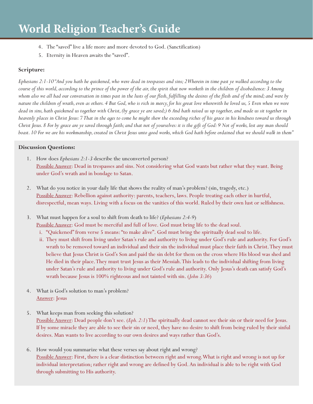- 4. The "saved" live a life more and more devoted to God. (Sanctification)
- 5. Eternity in Heaven awaits the "saved".

## **Scripture:**

*Ephesians 2:1-10 "And you hath he quickened, who were dead in trespasses and sins; 2 Wherein in time past ye walked according to the course of this world, according to the prince of the power of the air, the spirit that now worketh in the children of disobedience: 3 Among whom also we all had our conversation in times past in the lusts of our flesh, fulfilling the desires of the flesh and of the mind; and were by nature the children of wrath, even as others. 4 But God, who is rich in mercy, for his great love wherewith he loved us, 5 Even when we were dead in sins, hath quickened us together with Christ, (by grace ye are saved;) 6 And hath raised us up together, and made us sit together in heavenly places in Christ Jesus: 7 That in the ages to come he might shew the exceeding riches of his grace in his kindness toward us through Christ Jesus. 8 For by grace are ye saved through faith; and that not of yourselves: it is the gift of God: 9 Not of works, lest any man should boast. 10 For we are his workmanship, created in Christ Jesus unto good works, which God hath before ordained that we should walk in them"*

## **Discussion Questions:**

- 1. How does *Ephesians 2:1-3* describe the unconverted person? Possible Answer: Dead in trespasses and sins. Not considering what God wants but rather what they want. Being under God's wrath and in bondage to Satan.
- 2. What do you notice in your daily life that shows the reality of man's problem? (sin, tragedy, etc.) Possible Answer: Rebellion against authority: parents, teachers, laws. People treating each other in hurtful, disrespectful, mean ways. Living with a focus on the vanities of this world. Ruled by their own lust or selfishness.
- 3. What must happen for a soul to shift from death to life? (*Ephesians 2:4-9*) Possible Answer: God must be merciful and full of love. God must bring life to the dead soul.
	- i. "Quickened" from verse 5 means: "to make alive". God must bring the spiritually dead soul to life.
	- ii. They must shift from living under Satan's rule and authority to living under God's rule and authority. For God's wrath to be removed toward an individual and their sin the individual must place their faith in Christ. They must believe that Jesus Christ is God's Son and paid the sin debt for them on the cross where His blood was shed and He died in their place. They must trust Jesus as their Messiah. This leads to the individual shifting from living under Satan's rule and authority to living under God's rule and authority. Only Jesus's death can satisfy God's wrath because Jesus is 100% righteous and not tainted with sin. (*John 3:36*)
- 4. What is God's solution to man's problem? Answer: Jesus
- 5. What keeps man from seeking this solution? Possible Answer: Dead people don't see. (*Eph. 2:1*) The spiritually dead cannot see their sin or their need for Jesus. If by some miracle they are able to see their sin or need, they have no desire to shift from being ruled by their sinful desires. Man wants to live according to our own desires and ways rather than God's.
- 6. How would you summarize what these verses say about right and wrong? Possible Answer: First, there is a clear distinction between right and wrong. What is right and wrong is not up for individual interpretation; rather right and wrong are defined by God. An individual is able to be right with God through submitting to His authority.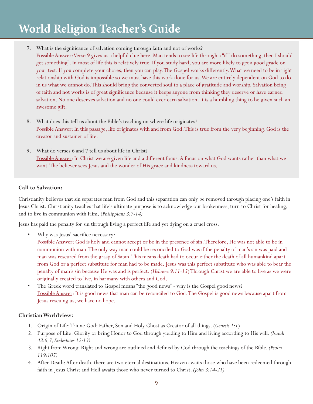7. What is the significance of salvation coming through faith and not of works?

Possible Answer: Verse 9 gives us a helpful clue here. Man tends to see life through a "if I do something, then I should get something". In most of life this is relatively true. If you study hard, you are more likely to get a good grade on your test. If you complete your chores, then you can play. The Gospel works differently. What we need to be in right relationship with God is impossible so we must have this work done for us. We are entirely dependent on God to do in us what we cannot do. This should bring the converted soul to a place of gratitude and worship. Salvation being of faith and not works is of great significance because it keeps anyone from thinking they deserve or have earned salvation. No one deserves salvation and no one could ever earn salvation. It is a humbling thing to be given such an awesome gift.

- 8. What does this tell us about the Bible's teaching on where life originates? Possible Answer: In this passage, life originates with and from God. This is true from the very beginning. God is the creator and sustainer of life.
- 9. What do verses 6 and 7 tell us about life in Christ? Possible Answer: In Christ we are given life and a different focus. A focus on what God wants rather than what we want. The believer sees Jesus and the wonder of His grace and kindness toward us.

## **Call to Salvation:**

Christianity believes that sin separates man from God and this separation can only be removed through placing one's faith in Jesus Christ. Christianity teaches that life's ultimate purpose is to acknowledge our brokenness, turn to Christ for healing, and to live in communion with Him. (*Philippians 3:7-14)*

Jesus has paid the penalty for sin through living a perfect life and yet dying on a cruel cross.

Why was Jesus' sacrifice necessary?

Possible Answer: God is holy and cannot accept or be in the presence of sin. Therefore, He was not able to be in communion with man. The only way man could be reconciled to God was if the penalty of man's sin was paid and man was rescured from the grasp of Satan. This means death had to occur either the death of all humankind apart from God or a perfect substitute for man had to be made. Jesus was this perfect substitute who was able to bear the penalty of man's sin because He was and is perfect. (*Hebrews 9:11-15*) Through Christ we are able to live as we were originally created to live, in harmany with others and God.

• The Greek word translated to Gospel means "the good news" - why is the Gospel good news? Possible Answer: It is good news that man can be reconciled to God. The Gospel is good news because apart from Jesus rescuing us, we have no hope.

## **Christian Worldview:**

- 1. Origin of Life: Triune God: Father, Son and Holy Ghost as Creator of all things. (*Genesis 1:1*)
- 2. Purpose of Life: Glorify or bring Honor to God through yielding to Him and living according to His will. *(Isaiah 43:6,7, Ecclesiates 12:13)*
- 3. Right from Wrong: Right and wrong are outlined and defined by God through the teachings of the Bible. *(Psalm 119:105)*
- 4. After Death: After death, there are two eternal destinations. Heaven awaits those who have been redeemed through faith in Jesus Christ and Hell awaits those who never turned to Christ. *(John 3:14-21)*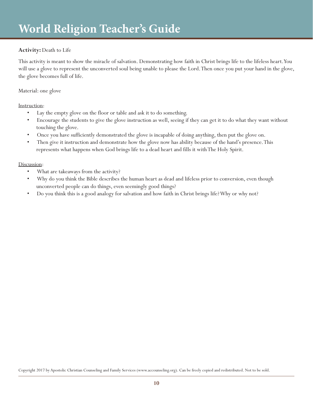# **Activity:** Death to Life

This activity is meant to show the miracle of salvation. Demonstrating how faith in Christ brings life to the lifeless heart. You will use a glove to represent the unconverted soul being unable to please the Lord. Then once you put your hand in the glove, the glove becomes full of life.

## Material: one glove

Instruction:

- Lay the empty glove on the floor or table and ask it to do something.
- Encourage the students to give the glove instruction as well, seeing if they can get it to do what they want without touching the glove.
- Once you have sufficiently demonstrated the glove is incapable of doing anything, then put the glove on.
- Then give it instruction and demonstrate how the glove now has ability because of the hand's presence. This represents what happens when God brings life to a dead heart and fills it with The Holy Spirit.

## Discussion:

- What are takeaways from the activity?
- Why do you think the Bible describes the human heart as dead and lifeless prior to conversion, even though unconverted people can do things, even seemingly good things?
- Do you think this is a good analogy for salvation and how faith in Christ brings life? Why or why not?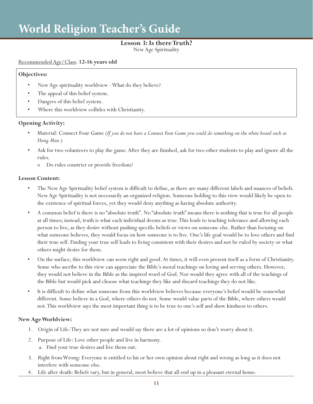# **Lesson 3: Is there Truth?**

New Age Spirituality

#### Recommended Age/Class: **12-16 years old**

#### **Objectives:**

- New Age spirituality worldview What do they believe?
- The appeal of this belief system.
- Dangers of this belief system.
- Where this worldview collides with Christianity.

## **Opening Activity:**

- Material: Connect Four Game (*If you do not have a Connect Four Game you could do something on the white board such as Hang Man.*)
- Ask for two volunteers to play the game. After they are finished, ask for two other students to play and ignore all the rules.
	- o Do rules constrict or provide freedom?

#### **Lesson Content:**

- The New Age Spirituality belief system is difficult to define, as there are many different labels and nuances of beliefs. New Age Spirituality is not necessarily an organized religion. Someone holding to this view would likely be open to the existence of spiritual forces, yet they would deny anything as having absolute authority.
- A common belief is there is no "absolute truth". No "absolute truth" means there is nothing that is true for all people at all times; instead, truth is what each individual deems as true. This leads to teaching tolerance and allowing each person to live, as they desire without pushing specific beliefs or views on someone else. Rather than focusing on what someone believes, they would focus on how someone is to live. One's life goal would be to love others and find their true self. Finding your true self leads to living consistent with their desires and not be ruled by society or what others might desire for them.
- On the surface, this worldview can seem right and good. At times, it will even present itself as a form of Christianity. Some who ascribe to this view can appreciate the Bible's moral teachings on loving and serving others. However, they would not believe in the Bible as the inspired word of God. Nor would they agree with all of the teachings of the Bible but would pick and choose what teachings they like and discard teachings they do not like.
- It is difficult to define what someone from this worldview believes because everyone's belief would be somewhat different. Some believe in a God, where others do not. Some would value parts of the Bible, where others would not. This worldview says the most important thing is to be true to one's self and show kindness to others.

#### **New Age Worldview:**

- 1. Origin of Life: They are not sure and would say there are a lot of opinions so don't worry about it.
- 2. Purpose of Life: Love other people and live in harmony.
	- a. Find your true desires and live them out.
- 3. Right from Wrong: Everyone is entitled to his or her own opinion about right and wrong as long as it does not interfere with someone else.
- 4. Life after death: Beliefs vary, but in general, most believe that all end up in a pleasant eternal home.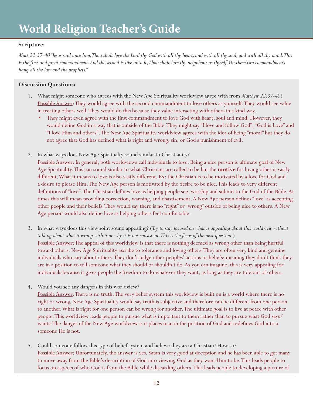# **Scripture:**

*Matt 22:37-40 "Jesus said unto him, Thou shalt love the Lord thy God with all thy heart, and with all thy soul, and with all thy mind. This*  is the first and great commandment. And the second is like unto it, Thou shalt love thy neighbour as thyself. On these two commandments *hang all the law and the prophets."*

## **Discussion Questions:**

- 1. What might someone who agrees with the New Age Spirituality worldview agree with from *Matthew 22:37-40*? Possible Answer: They would agree with the second commandment to love others as yourself. They would see value in treating others well. They would do this because they value interacting with others in a kind way.
	- They might even agree with the first commandment to love God with heart, soul and mind. However, they would define God in a way that is outside of the Bible. They might say "I love and follow God", "God is Love" and "I love Him and others". The New Age Spirituality worldview agrees with the idea of being "moral" but they do not agree that God has defined what is right and wrong, sin, or God's punishment of evil.
- 2. In what ways does New Age Spiritualty sound similar to Christianity?

Possible Answer: In general, both worldviews call individuals to love. Being a nice person is ultimate goal of New Age Spirituality. This can sound similar to what Christians are called to be but the **motive** for loving other is vastly different. What it means to love is also vastly different. Ex: the Christian is to be motivated by a love for God and a desire to please Him. The New Age person is motivated by the desire to be nice. This leads to very different definitions of "love". The Christian defines love as helping people see, worship and submit to the God of the Bible. At times this will mean providing correction, warning, and chastisement. A New Age person defines "love" as accepting other people and their beliefs. They would say there is no "right" or "wrong" outside of being nice to others. A New Age person would also define love as helping others feel comfortable.

- 3. In what ways does this viewpoint sound appealing? (*Try to stay focused on what is appealing about this worldview without talking about what it wrong with it or why it is not consistent. This is the focus of the next question.*) Possible Answer: The appeal of this worldview is that there is nothing deemed as wrong other than being hurtful toward others. New Age Spirituality ascribe to tolerance and loving others. They are often very kind and genuine individuals who care about others. They don't judge other peoples' actions or beliefs; meaning they don't think they are in a position to tell someone what they should or shouldn't do. As you can imagine, this is very appealing for individuals because it gives people the freedom to do whatever they want, as long as they are tolerant of others.
- 4. Would you see any dangers in this worldview?

Possible Answer: There is no truth. The very belief system this worldview is built on is a world where there is no right or wrong. New Age Spirituality would say truth is subjective and therefore can be different from one person to another. What is right for one person can be wrong for another. The ultimate goal is to live at peace with other people. This worldview leads people to pursue what is important to them rather than to pursue what God says/ wants. The danger of the New Age worldview is it places man in the position of God and redefines God into a someone He is not.

5. Could someone follow this type of belief system and believe they are a Christian? How so? Possible Answer: Unfortunately, the answer is yes. Satan is very good at deception and he has been able to get many to move away from the Bible's description of God into viewing God as they want Him to be. This leads people to focus on aspects of who God is from the Bible while discarding others. This leads people to developing a picture of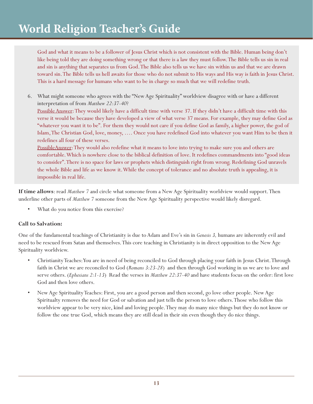God and what it means to be a follower of Jesus Christ which is not consistent with the Bible. Human being don't like being told they are doing something wrong or that there is a law they must follow. The Bible tells us sin in real and sin is anything that separates us from God. The Bible also tells us we have sin within us and that we are drawn toward sin. The Bible tells us hell awaits for those who do not submit to His ways and His way is faith in Jesus Christ. This is a hard message for humans who want to be in charge so much that we will redefine truth.

6. What might someone who agrees with the "New Age Spirituality" worldview disagree with or have a different interpretation of from *Matthew 22:37-40*?

Possible Answer: They would likely have a difficult time with verse 37. If they didn't have a difficult time with this verse it would be because they have developed a view of what verse 37 means. For example, they may define God as "whatever you want it to be". For them they would not care if you define God as family, a higher power, the god of Islam, The Christian God, love, money, …. Once you have redefined God into whatever you want Him to be then it redefines all four of these verses.

PossibleAnswer: They would also redefine what it means to love into trying to make sure you and others are comfortable. Which is nowhere close to the biblical definition of love. It redefines commandments into "good ideas to consider". There is no space for laws or prophets which distinguish right from wrong. Redefining God unravels the whole Bible and life as we know it. While the concept of tolerance and no absolute truth is appealing, it is impossible in real life.

**If time allows**: read *Matthew 7* and circle what someone from a New Age Spirituality worldview would support. Then underline other parts of *Matthew 7* someone from the New Age Spirituality perspective would likely disregard.

What do you notice from this exercise?

## **Call to Salvation:**

One of the fundamental teachings of Christianity is due to Adam and Eve's sin in *Genesis 3,* humans are inherently evil and need to be rescued from Satan and themselves. This core teaching in Christianity is in direct opposition to the New Age Spirituality worldview.

- Christianity Teaches: You are in need of being reconciled to God through placing your faith in Jesus Christ. Through faith in Christ we are reconciled to God (*Romans 3:23-28*) and then through God working in us we are to love and serve others. (*Ephesians 2:1-13*) Read the verses in *Matthew 22:37-40* and have students focus on the order: first love God and then love others.
- New Age Spirituality Teaches: First, you are a good person and then second, go love other people. New Age Spiritualty removes the need for God or salvation and just tells the person to love others. Those who follow this worldview appear to be very nice, kind and loving people. They may do many nice things but they do not know or follow the one true God, which means they are still dead in their sin even though they do nice things.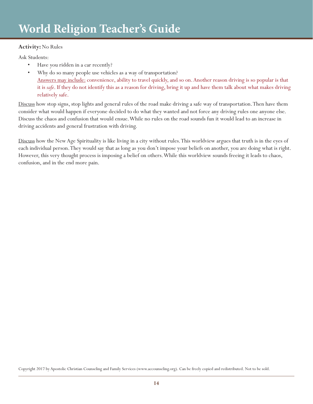# **Activity:** No Rules

Ask Students:

- Have you ridden in a car recently?
- Why do so many people use vehicles as a way of transportation? Answers may include: convenience, ability to travel quickly, and so on. Another reason driving is so popular is that it is *safe*. If they do not identify this as a reason for driving, bring it up and have them talk about what makes driving relatively safe.

Discuss how stop signs, stop lights and general rules of the road make driving a safe way of transportation. Then have them consider what would happen if everyone decided to do what they wanted and not force any driving rules one anyone else. Discuss the chaos and confusion that would ensue. While no rules on the road sounds fun it would lead to an increase in driving accidents and general frustration with driving.

Discuss how the New Age Spirituality is like living in a city without rules. This worldview argues that truth is in the eyes of each individual person. They would say that as long as you don't impose your beliefs on another, you are doing what is right. However, this very thought process is imposing a belief on others. While this worldview sounds freeing it leads to chaos, confusion, and in the end more pain.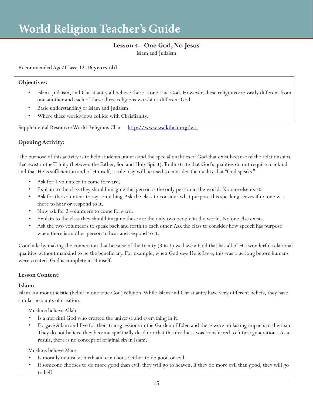# **Lesson 4 - One God, No Jesus**

Islam and Judaism

## Recommended Age/Class: **12-16 years old**

#### **Objectives:**

- Islam, Judaism, and Christianity all believe there is one true God. However, these religions are vastly different from one another and each of these three religions worship a different God.
- Basic understanding of Islam and Judaism.
- Where these worldviews collide with Christianity.

Supplemental Resource: World Religions Chart - http://www.walkthru.org/wr

# **Opening Activity:**

The purpose of this activity is to help students understand the special qualities of God that exist because of the relationships that exist in the Trinity (between the Father, Son and Holy Spirit). To illustrate that God's qualities do not require mankind and that He is sufficient in and of Himself, a role play will be used to consider the quality that "God speaks."

- Ask for 1 volunteer to come forward.
- Explain to the class they should imagine this person is the only person in the world. No one else exists.
- Ask for the volunteer to say something. Ask the class to consider what purpose this speaking serves if no one was there to hear or respond to it.
- Now ask for 2 volunteers to come forward.
- Explain to the class they should imagine these are the only two people in the world. No one else exists.
- Ask the two volunteers to speak back and forth to each other. Ask the class to consider how speech has purpose when there is another person to hear and respond to it.

Conclude by making the connection that because of the Trinity (3 in 1) we have a God that has all of His wonderful relational qualities without mankind to be the beneficiary. For example, when God says He is Love, this was true long before humans were created. God is complete in Himself.

## **Lesson Content:**

## **Islam:**

Islam is a monotheistic (belief in one true God) religion. While Islam and Christianity have very different beliefs, they have similar accounts of creation.

Muslims believe Allah:

- Is a merciful God who created the universe and everything in it.
- Forgave Adam and Eve for their transgressions in the Garden of Eden and there were no lasting impacts of their sin. They do not believe they became spiritually dead nor that this deadness was transferred to future generations. As a result, there is no concept of original sin in Islam.

Muslims believe Man:

- Is morally neutral at birth and can choose either to do good or evil.
- If someone chooses to do more good than evil, they will go to heaven. If they do more evil than good, they will go to hell.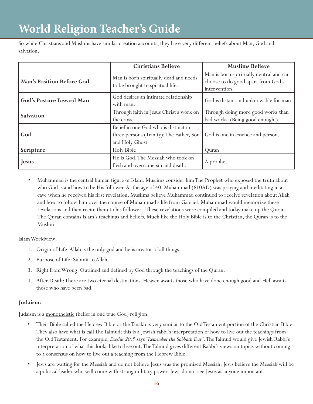So while Christians and Muslims have similar creation accounts, they have very different beliefs about Man, God and salvation.

|                                  | <b>Christians Believe</b>                                                                          | <b>Muslims Believe</b>                                                                         |
|----------------------------------|----------------------------------------------------------------------------------------------------|------------------------------------------------------------------------------------------------|
| <b>Man's Position Before God</b> | Man is born spiritually dead and needs<br>to be brought to spiritual life.                         | Man is born spiritually neutral and can<br>choose to do good apart from God's<br>intervention. |
| <b>God's Posture Toward Man</b>  | God desires an intimate relationship<br>with man.                                                  | God is distant and unknowable for man.                                                         |
| Salvation                        | Through faith in Jesus Christ's work on<br>the cross.                                              | Through doing more good works than<br>bad works. (Being good enough.)                          |
| God                              | Belief in one God who is distinct in<br>three persons (Trinity): The Father, Son<br>and Holy Ghost | God is one in essence and person.                                                              |
| Scripture                        | Holy Bible                                                                                         | Quran                                                                                          |
| Jesus                            | He is God. The Messiah who took on<br>flesh and overcame sin and death.                            | A prophet.                                                                                     |

• Muhammad is the central human figure of Islam. Muslims consider him The Prophet who exposed the truth about who God is and how to be His follower. At the age of 40, Muhammad (610AD) was praying and meditating in a cave when he received his first revelation. Muslims believe Muhammad continued to receive revelation about Allah and how to follow him over the course of Muhammad's life from Gabriel. Muhammad would memorize these revelations and then recite them to his followers. These revelations were compiled and today make up the Quran. The Quran contains Islam's teachings and beliefs. Much like the Holy Bible is to the Christian, the Quran is to the Muslim.

## Islam Worldview:

- 1. Origin of Life: Allah is the only god and he is creator of all things.
- 2. Purpose of Life: Submit to Allah.
- 3. Right from Wrong: Outlined and defined by God through the teachings of the Quran.
- 4. After Death: There are two eternal destinations. Heaven awaits those who have done enough good and Hell awaits those who have been bad.

## **Judaism:**

Judaism is a monotheistic (belief in one true God) religion.

- Their Bible called the Hebrew Bible or the Tanakh is very similar to the Old Testament portion of the Christian Bible. They also have what is call The Talmud: this is a Jewish rabbi's interpretation of how to live out the teachings from the Old Testament. For example, *Exodus 20:8* says *"Remember the Sabbath Day"*. The Talmud would give Jewish Rabbi's interpretation of what this looks like to live out. The Talmud gives different Rabbi's views on topics without coming to a consensus on how to live out a teaching from the Hebrew Bible.
- Jews are waiting for the Messiah and do not believe Jesus was the promised Messiah. Jews believe the Messiah will be a political leader who will come with strong military power. Jews do not see Jesus as anyone important.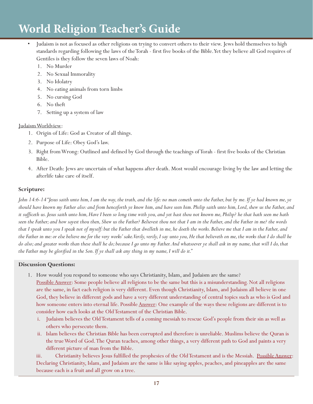- Judaism is not as focused as other religions on trying to convert others to their view. Jews hold themselves to high standards regarding following the laws of the Torah - first five books of the Bible. Yet they believe all God requires of Gentiles is they follow the seven laws of Noah:
	- 1. No Murder
	- 2. No Sexual Immorality
	- 3. No Idolatry
	- 4. No eating animals from torn limbs
	- 5. No cursing God
	- 6. No theft
	- 7. Setting up a system of law

# Judaism Worldview:

- 1. Origin of Life: God as Creator of all things.
- 2. Purpose of Life: Obey God's law.
- 3. Right from Wrong: Outlined and defined by God through the teachings of Torah first five books of the Christian Bible.
- 4. After Death: Jews are uncertain of what happens after death. Most would encourage living by the law and letting the afterlife take care of itself.

# **Scripture:**

*John 14:6-14 "Jesus saith unto him, I am the way, the truth, and the life: no man cometh unto the Father, but by me. If ye had known me, ye should have known my Father also: and from henceforth ye know him, and have seen him. Philip saith unto him, Lord, shew us the Father, and it sufficeth us. Jesus saith unto him, Have I been so long time with you, and yet hast thou not known me, Philip? he that hath seen me hath seen the Father; and how sayest thou then, Shew us the Father? Believest thou not that I am in the Father, and the Father in me? the words that I speak unto you I speak not of myself: but the Father that dwelleth in me, he doeth the works. Believe me that I am in the Father, and the Father in me: or else believe me for the very works' sake. Verily, verily, I say unto you, He that believeth on me, the works that I do shall he do also; and greater works than these shall he do; because I go unto my Father. And whatsoever ye shall ask in my name, that will I do, that the Father may be glorified in the Son. If ye shall ask any thing in my name, I will do it."*

## **Discussion Questions:**

- 1. How would you respond to someone who says Christianity, Islam, and Judaism are the same? Possible Answer: Some people believe all religions to be the same but this is a misunderstanding. Not all religions are the same, in fact each religion is very different. Even though Christianity, Islam, and Judaism all believe in one God, they believe in different gods and have a very different understanding of central topics such as who is God and how someone enters into eternal life. Possible Answer: One example of the ways these religions are different is to consider how each looks at the Old Testament of the Christian Bible.
	- i. Judaism believes the Old Testament tells of a coming messiah to rescue God's people from their sin as well as others who persecute them.
	- ii. Islam believes the Christian Bible has been corrupted and therefore is unreliable. Muslims believe the Quran is the true Word of God. The Quran teaches, among other things, a very different path to God and paints a very different picture of man from the Bible.

iii. Christianity believes Jesus fulfilled the prophesies of the Old Testament and is the Messiah. Possible Answer: Declaring Christianity, Islam, and Judaism are the same is like saying apples, peaches, and pineapples are the same because each is a fruit and all grow on a tree.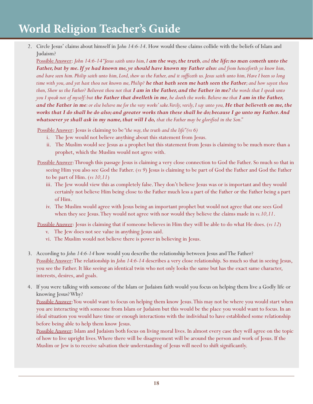2. Circle Jesus' claims about himself in J*ohn 14:6-14*. How would these claims collide with the beliefs of Islam and Judaism?

Possible Answer: *John 14:6-14 "Jesus saith unto him, I am the way, the truth, and the life: no man cometh unto the Father, but by me. If ye had known me, ye should have known my Father also: and from henceforth ye know him, and have seen him. Philip saith unto him, Lord, shew us the Father, and it sufficeth us. Jesus saith unto him, Have I been so long time with you, and yet hast thou not known me, Philip? he that hath seen me hath seen the Father; and how sayest thou then, Shew us the Father? Believest thou not that I am in the Father, and the Father in me? the words that I speak unto you I speak not of myself: but the Father that dwelleth in me, he doeth the works. Believe me that I am in the Father, and the Father in me: or else believe me for the very works' sake. Verily, verily, I say unto you, He that believeth on me, the works that I do shall he do also; and greater works than these shall he do; because I go unto my Father. And whatsoever ye shall ask in my name, that will I do, that the Father may be glorified in the Son."*

Possible Answer: Jesus is claiming to be *"the way, the truth and the life" (vs 6)*

- i. The Jew would not believe anything about this statement from Jesus.
- ii. The Muslim would see Jesus as a prophet but this statement from Jesus is claiming to be much more than a prophet, which the Muslim would not agree with.
- Possible Answer: Through this passage Jesus is claiming a very close connection to God the Father. So much so that in seeing Him you also see God the Father. (*vs 9*) Jesus is claiming to be part of God the Father and God the Father to be part of Him. (*vs 10,11*)
	- iii. The Jew would view this as completely false. They don't believe Jesus was or is important and they would certainly not believe Him being close to the Father much less a part of the Father or the Father being a part of Him.
	- iv. The Muslim would agree with Jesus being an important prophet but would not agree that one sees God when they see Jesus. They would not agree with nor would they believe the claims made in *vs.10,11*.

Possible Answer: Jesus is claiming that if someone believes in Him they will be able to do what He does. (*vs 12*)

- v. The Jew does not see value in anything Jesus said.
- vi. The Muslim would not believe there is power in believing in Jesus.
- 3. According to *John 14:6-14* how would you describe the relationship between Jesus and The Father? Possible Answer: The relationship in *John 14:6-14* describes a very close relationship. So much so that in seeing Jesus, you see the Father. It like seeing an identical twin who not only looks the same but has the exact same character, interests, desires, and goals.
- 4. If you were talking with someone of the Islam or Judaism faith would you focus on helping them live a Godly life or knowing Jesus? Why?

Possible Answer: You would want to focus on helping them know Jesus. This may not be where you would start when you are interacting with someone from Islam or Judaism but this would be the place you would want to focus. In an ideal situation you would have time or enough interactions with the individual to have established some relationship before being able to help them know Jesus.

Possible Answer: Islam and Judaism both focus on living moral lives. In almost every case they will agree on the topic of how to live upright lives. Where there will be disagreement will be around the person and work of Jesus. If the Muslim or Jew is to receive salvation their understanding of Jesus will need to shift significantly.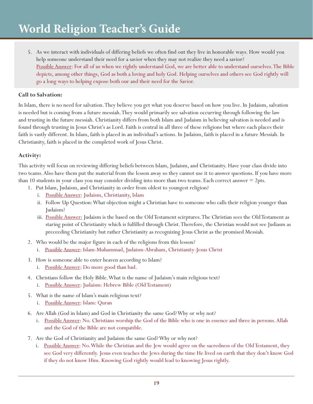5. As we interact with individuals of differing beliefs we often find out they live in honorable ways. How would you help someone understand their need for a savior when they may not realize they need a savior? Possible Answer: For all of us when we rightly understand God, we are better able to understand ourselves. The Bible depicts, among other things, God as both a loving and holy God. Helping ourselves and others see God rightly will go a long ways to helping expose both our and their need for the Savior.

## **Call to Salvation:**

In Islam, there is no need for salvation. They believe you get what you deserve based on how you live. In Judaism, salvation is needed but is coming from a future messiah. They would primarily see salvation occurring through following the law and trusting in the future messiah. Christianity differs from both Islam and Judaism in believing salvation is needed and is found through trusting in Jesus Christ's as Lord. Faith is central in all three of these religions but where each places their faith is vastly different. In Islam, faith is placed in an individual's actions. In Judaism, faith is placed in a future Messiah. In Christianity, faith is placed in the completed work of Jesus Christ.

## **Activity:**

This activity will focus on reviewing differing beliefs between Islam, Judaism, and Christianity. Have your class divide into two teams. Also have them put the material from the lesson away so they cannot use it to answer questions. If you have more than 10 students in your class you may consider dividing into more than two teams. Each correct answer = 2pts.

- 1. Put Islam, Judaism, and Christianity in order from oldest to youngest religion?
	- i. Possible Answer: Judaism, Christianity, Islam
	- ii. Follow Up Question: What objection might a Christian have to someone who calls their religion younger than Judaism?
	- iii. Possible Answer: Judaism is the based on the Old Testament scirptures. The Christian sees the Old Testament as staring point of Christianity which is fulfilled through Christ. Therefore, the Christian would not see Judiasm as preceeding Christianity but rather Christianity as recognizing Jesus Christ as the promised Messiah.
- 2. Who would be the major figure in each of the religions from this lesson?
	- i. Possible Answer: Islam-Muhammad, Judaism-Abraham, Christianity-Jesus Christ
- 3. How is someone able to enter heaven according to Islam?
	- i. Possible Answer: Do more good than bad.
- 4. Christians follow the Holy Bible. What is the name of Judaism's main religious text? i. Possible Answer: Judaism: Hebrew Bible (Old Testament)
- 5. What is the name of Islam's main religious text?
	- i. Possible Answer: Islam: Quran
- 6. Are Allah (God in Islam) and God in Christianity the same God? Why or why not?
	- i. Possible Answer: No. Christians worship the God of the Bible who is one in essence and three in persons. Allah and the God of the Bible are not compatible.
- 7. Are the God of Christianity and Judaism the same God? Why or why not?
	- i. Possible Answer: No. While the Christian and the Jew would agree on the sacredness of the Old Testament, they see God very differently. Jesus even teaches the Jews during the time He lived on earth that they don't know God if they do not know Him. Knowing God rightly would lead to knowing Jesus rightly.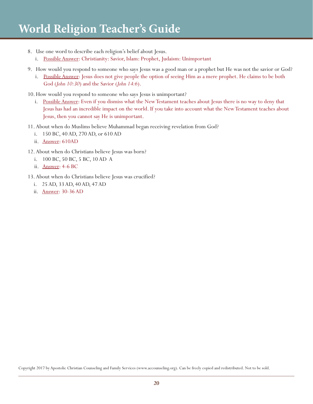- 8. Use one word to describe each religion's belief about Jesus.
	- i. Possible Answer: Christianity: Savior, Islam: Prophet, Judaism: Unimportant
- 9. How would you respond to someone who says Jesus was a good man or a prophet but He was not the savior or God?
	- i. Possible Answer: Jesus does not give people the option of seeing Him as a mere prophet. He claims to be both God (*John 10:30*) and the Savior (*John 14:6*).
- 10.How would you respond to someone who says Jesus is unimportant?
	- i. Possible Answer: Even if you dismiss what the New Testament teaches about Jesus there is no way to deny that Jesus has had an incredible impact on the world. If you take into account what the New Testament teaches about Jesus, then you cannot say He is unimportant.
- 11.About when do Muslims believe Muhammad began receiving revelation from God?
	- i. 150 BC, 40 AD, 270 AD, or 610 AD
	- ii. Answer: 610AD
- 12.About when do Christians believe Jesus was born?
	- i. 100 BC, 50 BC, 5 BC, 10 AD A
	- ii. Answer: 4-6 BC
- 13.About when do Christians believe Jesus was crucified?
	- i. 25 AD, 33 AD, 40 AD, 47 AD
	- ii. Answer: 30-36 AD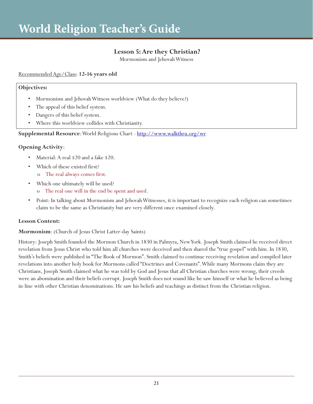# **Lesson 5: Are they Christian?**

Mormonism and Jehovah Witness

## Recommended Age/Class: **12-16 years old**

## **Objectives:**

- Mormonism and Jehovah Witness worldview (What do they believe?)
- The appeal of this belief system.
- Dangers of this belief system.
- Where this worldview collides with Christianity.

## **Supplemental Resource**: World Religions Chart - http://www.walkthru.org/wr

## **Opening Activity**:

- Material: A real \$20 and a fake \$20.
- Which of these existed first?
	- o The real always comes first.
- Which one ultimately will be used?
	- o The real one will in the end be spent and used.
- Point: In talking about Mormonism and Jehovah Witnesses, it is important to recognize each religion can sometimes claim to be the same as Christianity but are very different once examined closely.

## **Lesson Content:**

## **Mormonism**: (Church of Jesus Christ Latter-day Saints)

History: Joseph Smith founded the Mormon Church in 1830 in Palmyra, New York. Joseph Smith claimed he received direct revelation from Jesus Christ who told him all churches were deceived and then shared the "true gospel" with him. In 1830, Smith's beliefs were published in "The Book of Mormon". Smith claimed to continue receiving revelation and compiled later revelations into another holy book for Mormons called "Doctrines and Covenants". While many Mormons claim they are Christians, Joseph Smith claimed what he was told by God and Jesus that all Christian churches were wrong, their creeds were an abomination and their beliefs corrupt. Joseph Smith does not sound like he saw himself or what he believed as being in-line with other Christian denominations. He saw his beliefs and teachings as distinct from the Christian religion.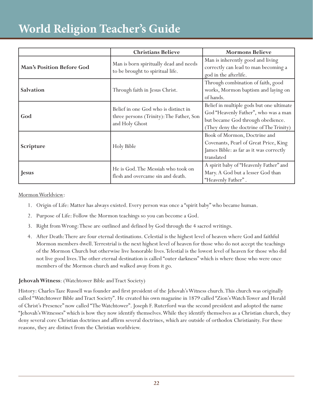|                           | <b>Christians Believe</b>                                                                          | <b>Mormons Believe</b>                                                                                                                                           |
|---------------------------|----------------------------------------------------------------------------------------------------|------------------------------------------------------------------------------------------------------------------------------------------------------------------|
| Man's Position Before God | Man is born spiritually dead and needs<br>to be brought to spiritual life.                         | Man is inherently good and living<br>correctly can lead to man becoming a<br>god in the afterlife.                                                               |
| Salvation                 | Through faith in Jesus Christ.                                                                     | Through combination of faith, good<br>works, Mormon baptism and laying on<br>of hands.                                                                           |
| God                       | Belief in one God who is distinct in<br>three persons (Trinity): The Father, Son<br>and Holy Ghost | Belief in multiple gods but one ultimate<br>God "Heavenly Father", who was a man<br>but became God through obedience.<br>(They deny the doctrine of The Trinity) |
| Scripture                 | Holy Bible                                                                                         | Book of Mormon, Doctrine and<br>Covenants, Pearl of Great Price, King<br>James Bible: as far as it was correctly<br>translated                                   |
| Jesus                     | He is God. The Messiah who took on<br>flesh and overcame sin and death.                            | A spirit baby of "Heavenly Father" and<br>Mary. A God but a lesser God than<br>"Heavenly Father".                                                                |

Mormon Worldview:

- 1. Origin of Life: Matter has always existed. Every person was once a "spirit baby" who became human.
- 2. Purpose of Life: Follow the Mormon teachings so you can become a God.
- 3. Right from Wrong: These are outlined and defined by God through the 4 sacred writings.
- 4. After Death: There are four eternal destinations. Celestial is the highest level of heaven where God and faithful Mormon members dwell. Terrestrial is the next highest level of heaven for those who do not accept the teachings of the Mormon Church but otherwise live honorable lives. Telestial is the lowest level of heaven for those who did not live good lives. The other eternal destination is called "outer darkness" which is where those who were once members of the Mormon church and walked away from it go.

## **Jehovah Witness**: (Watchtower Bible and Tract Society)

History: Charles Taze Russell was founder and first president of the Jehovah's Witness church. This church was originally called "Watchtower Bible and Tract Society". He created his own magazine in 1879 called "Zion's Watch Tower and Herald of Christ's Presence" now called "The Watchtower". Joseph F. Ruterford was the second president and adopted the name "Jehovah's Witnesses" which is how they now identify themselves. While they identify themselves as a Christian church, they deny several core Christian doctrines and affirm several doctrines, which are outside of orthodox Christianity. For these reasons, they are distinct from the Christian worldview.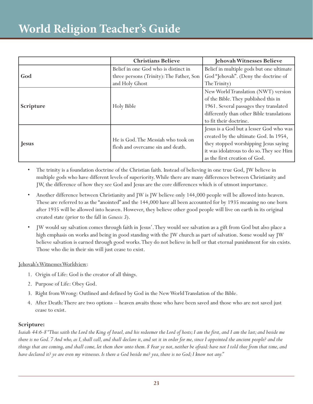|              | <b>Christians Believe</b>                                               | Jehovah Witnesses Believe                 |
|--------------|-------------------------------------------------------------------------|-------------------------------------------|
| God          | Belief in one God who is distinct in                                    | Belief in multiple gods but one ultimate  |
|              | three persons (Trinity): The Father, Son                                | God "Jehovah". (Deny the doctrine of      |
|              | and Holy Ghost                                                          | The Trinity)                              |
| Scripture    | Holy Bible                                                              | New World Translation (NWT) version       |
|              |                                                                         | of the Bible. They published this in      |
|              |                                                                         | 1961. Several passages they translated    |
|              |                                                                         | differently than other Bible translations |
|              |                                                                         | to fit their doctrine.                    |
| <b>Jesus</b> | He is God. The Messiah who took on<br>flesh and overcame sin and death. | Jesus is a God but a lesser God who was   |
|              |                                                                         | created by the ultimate God. In 1954,     |
|              |                                                                         | they stopped worshipping Jesus saying     |
|              |                                                                         | it was idolatrous to do so. They see Him  |
|              |                                                                         | as the first creation of God.             |

• The trinity is a foundation doctrine of the Christian faith. Instead of believing in one true God, JW believe in multiple gods who have different levels of superiority. While there are many differences between Christianity and JW, the difference of how they see God and Jesus are the core differences which is of utmost importance.

- Another difference between Christianity and JW is JW believe only 144,000 people will be allowed into heaven. These are referred to as the "anointed" and the 144,000 have all been accounted for by 1935 meaning no one born after 1935 will be allowed into heaven. However, they believe other good people will live on earth in its original created state (prior to the fall in *Genesis 3*).
- JW would say salvation comes through faith in Jesus'. They would see salvation as a gift from God but also place a high emphasis on works and being in good standing with the JW church as part of salvation. Some would say JW believe salvation is earned through good works. They do not believe in hell or that eternal punishment for sin exists. Those who die in their sin will just cease to exist.

Jehovah's Witnesses Worldview:

- 1. Origin of Life: God is the creator of all things.
- 2. Purpose of Life: Obey God.
- 3. Right from Wrong: Outlined and defined by God in the New World Translation of the Bible.
- 4. After Death: There are two options -- heaven awaits those who have been saved and those who are not saved just cease to exist.

## **Scripture:**

*Isaiah 44:6-8 "Thus saith the Lord the King of Israel, and his redeemer the Lord of hosts; I am the first, and I am the last; and beside me there is no God. 7 And who, as I, shall call, and shall declare it, and set it in order for me, since I appointed the ancient people? and the things that are coming, and shall come, let them shew unto them. 8 Fear ye not, neither be afraid: have not I told thee from that time, and have declared it? ye are even my witnesses. Is there a God beside me? yea, there is no God; I know not any."*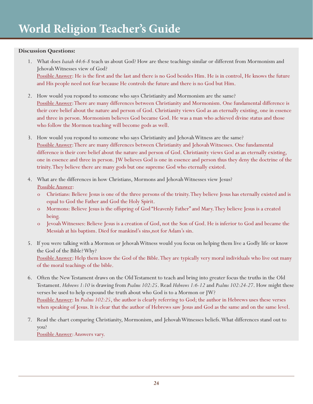## **Discussion Questions:**

- 1. What does *Isaiah 44:6-8* teach us about God? How are these teachings similar or different from Mormonism and Jehovah Witnesses view of God? Possible Answer: He is the first and the last and there is no God besides Him. He is in control, He knows the future and His people need not fear because He controls the future and there is no God but Him.
- 2. How would you respond to someone who says Christianity and Mormonism are the same? Possible Answer: There are many differences between Christianity and Mormonism. One fundamental difference is their core belief about the nature and person of God. Christianity views God as an eternally existing, one in essence and three in person. Mormonism believes God became God. He was a man who achieved divine status and those who follow the Mormon teaching will become gods as well.
- 3. How would you respond to someone who says Christianity and Jehovah Witness are the same? Possible Answer: There are many differences between Christianity and Jehovah Witnesses. One fundamental difference is their core belief about the nature and person of God. Christianity views God as an eternally existing, one in essence and three in person. JW believes God is one in essence and person thus they deny the doctrine of the trinity. They believe there are many gods but one supreme God who eternally existed.
- 4. What are the differences in how Christians, Mormons and Jehovah Witnesses view Jesus? Possible Answer:
	- o Christians: Believe Jesus is one of the three persons of the trinity. They believe Jesus has eternally existed and is equal to God the Father and God the Holy Spirit.
	- o Mormons: Believe Jesus is the offspring of God "Heavenly Father" and Mary. They believe Jesus is a created being.
	- o Jevoah Witnesses: Believe Jesus is a creation of God, not the Son of God. He is inferior to God and became the Messiah at his baptism. Died for mankind's sins,not for Adam's sin.
- 5. If you were talking with a Mormon or Jehovah Witness would you focus on helping them live a Godly life or know the God of the Bible? Why? Possible Answer: Help them know the God of the Bible. They are typically very moral individuals who live out many of the moral teachings of the bible.
- 6. Often the New Testament draws on the Old Testament to teach and bring into greater focus the truths in the Old Testament. *Hebrews 1:10* is drawing from *Psalms 102:25*. Read *Hebrews 1:6-12* and *Psalms 102:24-27*. How might these verses be used to help expound the truth about who God is to a Mormon or JW? Possible Answer: In *Psalms 102:25*, the author is clearly referring to God; the author in Hebrews uses these verses when speaking of Jesus. It is clear that the author of Hebrews saw Jesus and God as the same and on the same level.
- 7. Read the chart comparing Christianity, Mormonism, and Jehovah Witnesses beliefs. What differences stand out to you? Possible Answer: Answers vary.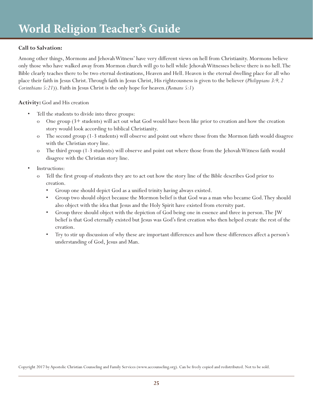## **Call to Salvation:**

Among other things, Mormons and Jehovah Witness' have very different views on hell from Christianity. Mormons believe only those who have walked away from Mormon church will go to hell while Jehovah Witnesses believe there is no hell. The Bible clearly teaches there to be two eternal destinations, Heaven and Hell. Heaven is the eternal dwelling place for all who place their faith in Jesus Christ. Through faith in Jesus Christ, His righteousness is given to the believer (*Philippians 3:9, 2 Corinthians 5:21*)). Faith in Jesus Christ is the only hope for heaven.(*Romans 5:1*)

**Activity:** God and His creation

- Tell the students to divide into three groups:
	- o One group (3+ students) will act out what God would have been like prior to creation and how the creation story would look according to biblical Christianity.
	- o The second group (1-3 students) will observe and point out where those from the Mormon faith would disagree with the Christian story line.
	- o The third group (1-3 students) will observe and point out where those from the Jehovah Witness faith would disagree with the Christian story line.
- Instructions:
	- o Tell the first group of students they are to act out how the story line of the Bible describes God prior to creation.
		- Group one should depict God as a unified trinity having always existed.
		- Group two should object because the Mormon belief is that God was a man who became God. They should also object with the idea that Jesus and the Holy Spirit have existed from eternity past.
		- Group three should object with the depiction of God being one in essence and three in person. The JW belief is that God eternally existed but Jesus was God's first creation who then helped create the rest of the creation.
		- Try to stir up discussion of why these are important differences and how these differences affect a person's understanding of God, Jesus and Man.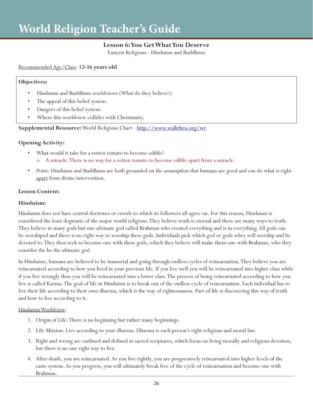# **Lesson 6: You Get What You Deserve**

Eastern Religions - Hinduism and Buddhism

## Recommended Age/Class: **12-16 years old**

#### **Objectives:**

- Hinduism and Buddhism worldviews (What do they believe?)
- The appeal of this belief system.
- Dangers of this belief system.
- Where this worldview collides with Christianity.

## **Supplemental Resource:** World Religions Chart - http://www.walkthru.org/wr

## **Opening Activity:**

- What would it take for a rotten tomato to become edible? A miracle. There is no way for a rotten tomato to become edible apart from a miracle.
- Point: Hinduism and Buddhism are both grounded on the assumption that humans are good and can do what is right apart from divine intervention.

## **Lesson Content:**

## **Hinduism:**

Hinduism does not have central doctrines or creeds to which its followers all agree on. For this reason, Hinduism is considered the least dogmatic of the major world religions. They believe truth is eternal and there are many ways to truth. They believe in many gods but one ultimate god called Brahman who created everything and is in everything. All gods can be worshiped and there is no right way to worship these gods. Individuals pick which god or gods whey will worship and be devoted to. They then seek to become one with these gods, which they believe will make them one with Brahman, who they consider the be the ultimate god.

In Hinduism, humans are believed to be immortal and going through endless cycles of reincarnation. They believe you are reincarnated according to how you lived in your previous life. If you live well you will be reincarnated into higher class while if you live wrongly then you will be reincarnated into a lower class. The process of being reincarnated according to how you live is called Karma. The goal of life in Hinduism is to break out of the endless cycle of reincarnation. Each individual has to live their life according to their own dharma, which is the way of righteousness. Part of life is discovering this way of truth and how to live according to it.

## Hinduism Worldview:

- 1. Origin of Life: There is no beginning but rather many beginnings.
- 2. Life Mission: Live according to your dharma. Dharma is each person's right religious and moral law.
- 3. Right and wrong are outlined and defined in sacred scriptures, which focus on living morally and religious devotion, but there is no one right way to live.
- 4. After death, you are reincarnated. As you live rightly, you are progressively reincarnated into higher levels of the caste system. As you progress, you will ultimately break free of the cycle of reincarnation and become one with Brahman.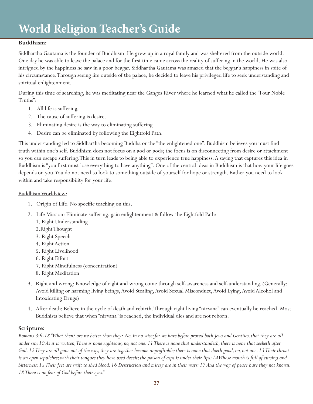## **Buddhism:**

Siddhartha Gautama is the founder of Buddhism. He grew up in a royal family and was sheltered from the outside world. One day he was able to leave the palace and for the first time came across the reality of suffering in the world. He was also intrigued by the happiness he saw in a poor beggar. Siddhartha Gautama was amazed that the beggar's happiness in spite of his circumstance. Through seeing life outside of the palace, he decided to leave his privileged life to seek understanding and spiritual enlightenment.

During this time of searching, he was meditating near the Ganges River where he learned what he called the "Four Noble Truths":

- 1. All life is suffering.
- 2. The cause of suffering is desire.
- 3. Eliminating desire is the way to eliminating suffering
- 4. Desire can be eliminated by following the Eightfold Path.

This understanding led to Siddhartha becoming Buddha or the "the enlightened one". Buddhism believes you must find truth within one's self. Buddhism does not focus on a god or gods; the focus is on disconnecting from desire or attachment so you can escape suffering. This in turn leads to being able to experience true happiness. A saying that captures this idea in Buddhism is "you first must lose everything to have anything". One of the central ideas in Buddhism is that how your life goes depends on you. You do not need to look to something outside of yourself for hope or strength. Rather you need to look within and take responsibility for your life.

## Buddhism Worldview:

- 1. Origin of Life: No specific teaching on this.
- 2. Life Mission: Eliminate suffering, gain enlightenment & follow the Eightfold Path:
	- 1. Right Understanding
	- 2.Right Thought
	- 3. Right Speech
	- 4. Right Action
	- 5. Right Livelihood
	- 6. Right Effort
	- 7. Right Mindfulness (concentration)
	- 8. Right Meditation
- 3. Right and wrong: Knowledge of right and wrong come through self-awareness and self-understanding. (Generally: Avoid killing or harming living beings, Avoid Stealing, Avoid Sexual Misconduct, Avoid Lying, Avoid Alcohol and Intoxicating Drugs)
- 4. After death: Believe in the cycle of death and rebirth. Through right living "nirvana" can eventually be reached. Most Buddhists believe that when "nirvana" is reached, the individual dies and are not reborn.

# **Scripture:**

*Romans 3:9-18 "What then? are we better than they? No, in no wise: for we have before proved both Jews and Gentiles, that they are all under sin; 10 As it is written, There is none righteous, no, not one: 11 There is none that understandeth, there is none that seeketh after God. 12 They are all gone out of the way, they are together become unprofitable; there is none that doeth good, no, not one. 13 Their throat is an open sepulchre; with their tongues they have used deceit; the poison of asps is under their lips: 14 Whose mouth is full of cursing and bitterness: 15 Their feet are swift to shed blood: 16 Destruction and misery are in their ways: 17 And the way of peace have they not known: 18 There is no fear of God before their eyes."*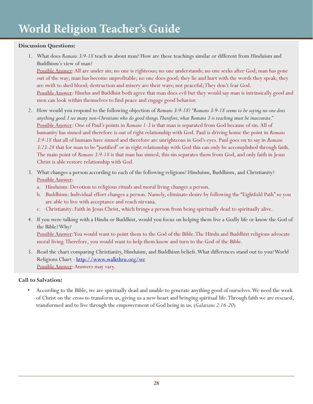## **Discussion Questions:**

1. What does *Romans 3:9-18* teach us about man? How are these teachings similar or different from Hinduism and Buddhism's view of man?

Possible Answer: All are under sin; no one is righteous; no one understands; no one seeks after God; man has gone out of the way; man has become unprofitable; no one does good; they lie and hurt with the words they speak; they are swift to shed blood; destruction and misery are their ways; not peaceful; They don't fear God. Possible Answer: Hindus and Buddhist both agree that man does evil but they would say man is intrinsically good and men can look within themselves to find peace and engage good behavior.

- 2. How would you respond to the following objection of *Romans 3:9-18*? *"Romans 3:9-18 seems to be saying no one does anything good. I see many non-Christians who do good things. Therefore, what Romans 3 is teaching must be inaccurate."* Possible Answer: One of Paul's points in *Romans 1-3* is that man is separated from God because of sin. All of humanity has sinned and therefore is out of right relationship with God. Paul is driving home the point in *Romans 3:9-18* that all of humans have sinned and therefore are unrighteous in God's eyes. Paul goes on to say in *Romans 3:23-28* that for man to be "justified" or in right relationship with God this can only be accomplished through faith. The main point of *Romans 3:9-18* is that man has sinned, this sin separates them from God, and only faith in Jesus Christ is able restore relationship with God.
- 3. What changes a person according to each of the following religions? Hinduism, Buddhism, and Christianity? Possible Answer:
	- a. Hinduism: Devotion to religious rituals and moral living changes a person.
	- b. Buddhism: Individual effort changes a person. Namely, eliminate desire by following the "Eightfold Path" so you are able to live with acceptance and reach nirvana.
	- c. Christianity: Faith in Jesus Christ, which brings a person from being spiritually dead to spiritually alive.
- 4. If you were talking with a Hindu or Buddhist, would you focus on helping them live a Godly life or know the God of the Bible? Why?

Possible Answer: You would want to point them to the God of the Bible. The Hindu and Buddhist religions advocate moral living. Therefore, you would want to help them know and turn to the God of the Bible.

5. Read the chart comparing Christianity, Hinduism, and Buddhism beliefs. What differences stand out to you? World Religions Chart - http://www.walkthru.org/wr Possible Answer: Answers may vary.

# **Call to Salvation:**

• According to the Bible, we are spiritually dead and unable to generate anything good of ourselves. We need the work of Christ on the cross to transform us, giving us a new heart and bringing spiritual life. Through faith we are rescued, transformed and to live through the empowerment of God being in us. (*Galatians 2:16-20*)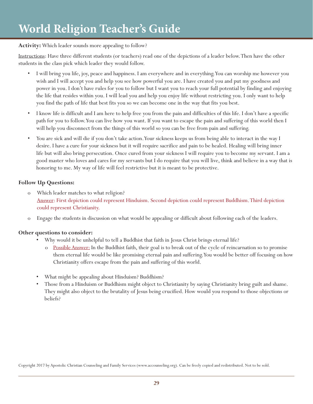## **Activity:** Which leader sounds more appealing to follow?

Instructions: Have three different students (or teachers) read one of the depictions of a leader below. Then have the other students in the class pick which leader they would follow.

- I will bring you life, joy, peace and happiness. I am everywhere and in everything. You can worship me however you wish and I will accept you and help you see how powerful you are. I have created you and put my goodness and power in you. I don't have rules for you to follow but I want you to reach your full potential by finding and enjoying the life that resides within you. I will lead you and help you enjoy life without restricting you. I only want to help you find the path of life that best fits you so we can become one in the way that fits you best.
- I know life is difficult and I am here to help free you from the pain and difficulties of this life. I don't have a specific path for you to follow. You can live how you want. If you want to escape the pain and suffering of this world then I will help you disconnect from the things of this world so you can be free from pain and suffering.
- You are sick and will die if you don't take action. Your sickness keeps us from being able to interact in the way I desire. I have a cure for your sickness but it will require sacrifice and pain to be healed. Healing will bring inner life but will also bring persecution. Once cured from your sickness I will require you to become my servant. I am a good master who loves and cares for my servants but I do require that you will live, think and believe in a way that is honoring to me. My way of life will feel restrictive but it is meant to be protective.

## **Follow Up Questions:**

- o Which leader matches to what religion? Answer: First depiction could represent Hinduism. Second depiction could represent Buddhism. Third depiction could represent Christianity.
- o Engage the students in discussion on what would be appealing or difficult about following each of the leaders.

## **Other questions to consider:**

- Why would it be unhelpful to tell a Buddhist that faith in Jesus Christ brings eternal life?
	- o Possible Answer: In the Buddhist faith, their goal is to break out of the cycle of reincarnation so to promise them eternal life would be like promising eternal pain and suffering. You would be better off focusing on how Christianity offers escape from the pain and suffering of this world.
- What might be appealing about Hinduism? Buddhism?
- Those from a Hinduism or Buddhism might object to Christianity by saying Christianity bring guilt and shame. They might also object to the brutality of Jesus being crucified. How would you respond to those objections or beliefs?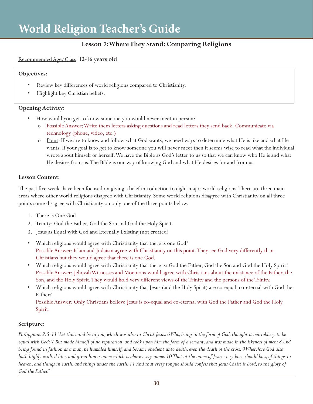# **Lesson 7: Where They Stand: Comparing Religions**

## Recommended Age/Class: **12-16 years old**

#### **Objectives:**

- Review key differences of world religions compared to Christianity.
- Highlight key Christian beliefs.

## **Opening Activity:**

- How would you get to know someone you would never meet in person?
	- o Possible Answer: Write them letters asking questions and read letters they send back. Communicate via technology (phone, video, etc.)
	- o Point: If we are to know and follow what God wants, we need ways to determine what He is like and what He wants. If your goal is to get to know someone you will never meet then it seems wise to read what the individual wrote about himself or herself. We have the Bible as God's letter to us so that we can know who He is and what He desires from us. The Bible is our way of knowing God and what He desires for and from us.

## **Lesson Content:**

The past five weeks have been focused on giving a brief introduction to eight major world religions. There are three main areas where other world religions disagree with Christianity. Some world religions disagree with Christianity on all three points some disagree with Christianity on only one of the three points below.

- 1. There is One God
- 2. Trinity: God the Father, God the Son and God the Holy Spirit
- 3. Jesus as Equal with God and Eternally Existing (not created)
- Which religions would agree with Christianity that there is one God? Possible Answer: Islam and Judaism agree with Christianity on this point. They see God very differently than Christians but they would agree that there is one God.
- Which religions would agree with Christianity that there is: God the Father, God the Son and God the Holy Spirit? Possible Answer: Jehovah Witnesses and Mormons would agree with Christians about the existance of the Father, the Son, and the Holy Spirit. They would hold very different views of the Trinity and the persons of the Trinity.
- Which religions would agree with Christianity that Jesus (and the Holy Spirit) are co-equal, co-eternal with God the Father?

Possible Answer: Only Christians believe Jesus is co-equal and co-eternal with God the Father and God the Holy Spirit.

## **Scripture:**

*Philippians 2:5-11 "Let this mind be in you, which was also in Christ Jesus: 6 Who, being in the form of God, thought it not robbery to be equal with God: 7 But made himself of no reputation, and took upon him the form of a servant, and was made in the likeness of men: 8 And being found in fashion as a man, he humbled himself, and became obedient unto death, even the death of the cross. 9 Wherefore God also hath highly exalted him, and given him a name which is above every name: 10 That at the name of Jesus every knee should bow, of things in heaven, and things in earth, and things under the earth; 11 And that every tongue should confess that Jesus Christ is Lord, to the glory of God the Father."*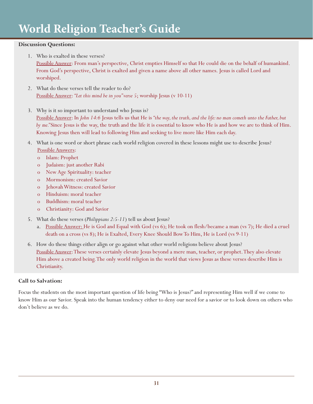## **Discussion Questions:**

1. Who is exalted in these verses?

Possible Answer: From man's perspective, Christ empties Himself so that He could die on the behalf of humankind. From God's perspective, Christ is exalted and given a name above all other names. Jesus is called Lord and worshiped.

- 2. What do these verses tell the reader to do? Possible Answer: *"Let this mind be in you" verse 5*; worship Jesus (v 10-11)
- 3. Why is it so important to understand who Jesus is?

Possible Answer: In *John 14:6* Jesus tells us that He is *"the way, the truth, and the life: no man cometh unto the Father, but by me."* Since Jesus is the way, the truth and the life it is essential to know who He is and how we are to think of Him. Knowing Jesus then will lead to following Him and seeking to live more like Him each day.

- 4. What is one word or short phrase each world religion covered in these lessons might use to describe Jesus? Possible Answers:
	- o Islam: Prophet
	- o Judaism: just another Rabi
	- o New Age Spirituality: teacher
	- o Mormonism: created Savior
	- o Jehovah Witness: created Savior
	- o Hinduism: moral teacher
	- o Buddhism: moral teacher
	- o Christianity: God and Savior
- 5. What do these verses (*Philippians 2:5-11*) tell us about Jesus?
	- a. Possible Answer: He is God and Equal with God (vs 6); He took on flesh/became a man (vs 7); He died a cruel death on a cross (vs 8); He is Exalted, Every Knee Should Bow To Him, He is Lord (vs 9-11)
- 6. How do these things either align or go against what other world religions believe about Jesus? Possible Answer: These verses certainly elevate Jesus beyond a mere man, teacher, or prophet. They also elevate Him above a created being. The only world religion in the world that views Jesus as these verses describe Him is Christianity.

## **Call to Salvation:**

Focus the students on the most important question of life being "Who is Jesus?" and representing Him well if we come to know Him as our Savior. Speak into the human tendency either to deny our need for a savior or to look down on others who don't believe as we do.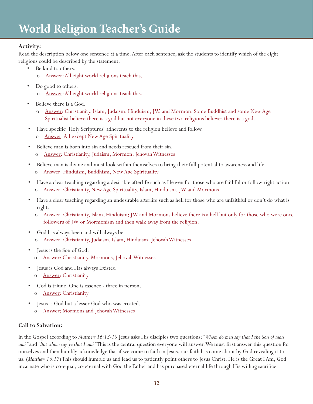# **Activity:**

Read the description below one sentence at a time. After each sentence, ask the students to identify which of the eight religions could be described by the statement.

- Be kind to others.
	- o Answer: All eight world religions teach this.
- Do good to others.
	- Answer: All eight world religions teach this.
- Believe there is a God.
	- o Answer: Christianity, Islam, Judaism, Hinduism, JW, and Mormon. Some Buddhist and some New Age Spiritualist believe there is a god but not everyone in these two religions believes there is a god.
- Have specific "Holy Scriptures" adherents to the religion believe and follow.
	- o Answer: All except New Age Spirituality.
- Believe man is born into sin and needs rescued from their sin.
	- o Answer: Christianity, Judaism, Mormon, Jehovah Witnesses
- Believe man is divine and must look within themselves to bring their full potential to awareness and life.
	- o Answer: Hinduism, Buddhism, New Age Spirituality
- Have a clear teaching regarding a desirable afterlife such as Heaven for those who are faithful or follow right action. o Answer: Christianity, New Age Spirituality, Islam, Hinduism, JW and Mormons
- Have a clear teaching regarding an undesirable afterlife such as hell for those who are unfaithful or don't do what is right.
	- Answer: Christianity, Islam, Hinduism; JW and Mormons believe there is a hell but only for those who were once followers of JW or Mormonism and then walk away from the religion.
- God has always been and will always be. o Answer: Christianity, Judaism, Islam, Hinduism. Jehovah Witnesses
- Jesus is the Son of God. o Answer: Christianity, Mormons, Jehovah Witnesses
- Jesus is God and Has always Existed
- o Answer: Christianity
- God is triune. One is essence three in person. o Answer: Christianity
- Jesus is God but a lesser God who was created.
	- o Answer: Mormons and Jehovah Witnesses

# **Call to Salvation:**

In the Gospel according to *Matthew 16:13-15* Jesus asks His disciples two questions: *"Whom do men say that I the Son of man am?"* and *"But whom say ye that I am?"* This is the central question everyone will answer. We must first answer this question for ourselves and then humbly acknowledge that if we come to faith in Jesus, our faith has come about by God revealing it to us. (*Matthew 16:17*) This should humble us and lead us to patiently point others to Jesus Christ. He is the Great I Am, God incarnate who is co-equal, co-eternal with God the Father and has purchased eternal life through His willing sacrifice.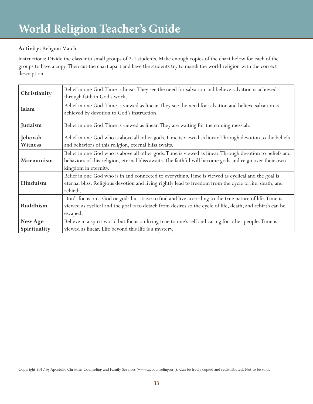# **Activity:** Religion Match

Instructions: Divide the class into small groups of 2-4 students. Make enough copies of the chart below for each of the groups to have a copy. Then cut the chart apart and have the students try to match the world religion with the correct description.

| Christianity            | Belief in one God. Time is linear. They see the need for salvation and believe salvation is achieved<br>through faith in God's work.                                                                                                         |
|-------------------------|----------------------------------------------------------------------------------------------------------------------------------------------------------------------------------------------------------------------------------------------|
| Islam                   | Belief in one God. Time is viewed as linear. They see the need for salvation and believe salvation is<br>achieved by devotion to God's instruction.                                                                                          |
| Judaism                 | Belief in one God. Time is viewed as linear. They are waiting for the coming messiah.                                                                                                                                                        |
| Jehovah<br>Witness      | Belief in one God who is above all other gods. Time is viewed as linear. Through devotion to the beliefs<br>and behaviors of this religion, eternal bliss awaits.                                                                            |
| Mormonism               | Belief in one God who is above all other gods. Time is viewed as linear. Through devotion to beliefs and<br>behaviors of this religion, eternal bliss awaits. The faithful will become gods and reign over their own<br>kingdom in eternity. |
| Hinduism                | Belief in one God who is in and connected to everything. Time is viewed as cyclical and the goal is<br>eternal bliss. Religious devotion and living rightly lead to freedom from the cycle of life, death, and<br>rebirth.                   |
| <b>Buddhism</b>         | Don't focus on a God or gods but strive to find and live according to the true nature of life. Time is<br>viewed as cyclical and the goal is to detach from desires so the cycle of life, death, and rebirth can be<br>escaped.              |
| New Age<br>Spirituality | Believe in a spirit world but focus on living true to one's self and caring for other people. Time is<br>viewed as linear. Life beyond this life is a mystery.                                                                               |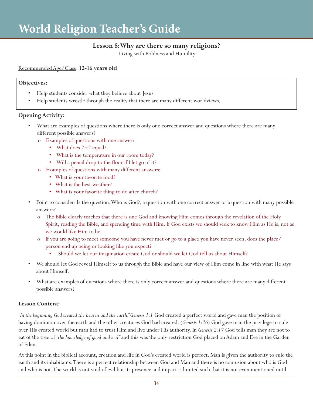# **Lesson 8: Why are there so many religions?**

Living with Boldness and Humility

Recommended Age/Class: **12-16 years old**

#### **Objectives:**

- Help students consider what they believe about Jesus.
- Help students wrestle through the reality that there are many different worldviews.

## **Opening Activity:**

- What are examples of questions where there is only one correct answer and questions where there are many different possible answers?
	- o Examples of questions with one answer:
		- What does 2+2 equal?
		- What is the temperature in our room today?
		- Will a pencil drop to the floor if I let go of it?
	- o Examples of questions with many different answers:
		- What is your favorite food?
		- What is the best weather?
		- What is your favorite thing to do after church?
- Point to consider: Is the question, Who is God?, a question with one correct answer or a question with many possible answers?
	- o The Bible clearly teaches that there is one God and knowing Him comes through the revelation of the Holy Spirit, reading the Bible, and spending time with Him. If God exists we should seek to know Him as He is, not as we would like Him to be.
	- o If you are going to meet someone you have never met or go to a place you have never seen, does the place/ person end up being or looking like you expect?
		- Should we let our imagination create God or should we let God tell us about Himself?
- We should let God reveal Himself to us through the Bible and have our view of Him come in line with what He says about Himself.
- What are examples of questions where there is only correct answer and questions where there are many different possible answers?

## **Lesson Content:**

*"In the beginning God created the heaven and the earth." Genesis 1:1* God created a perfect world and gave man the position of having dominion over the earth and the other creatures God had created. (*Genesis 1:26*) God gave man the privilege to rule over His created world but man had to trust Him and live under His authority. In *Genesis 2:17* God tells man they are not to eat of the tree of *"the knowledge of good and evil"* and this was the only restriction God placed on Adam and Eve in the Garden of Eden.

At this point in the biblical account, creation and life in God's created world is perfect. Man is given the authority to rule the earth and its inhabitants. There is a perfect relationship between God and Man and there is no confusion about who is God and who is not. The world is not void of evil but its presence and impact is limited such that it is not even mentioned until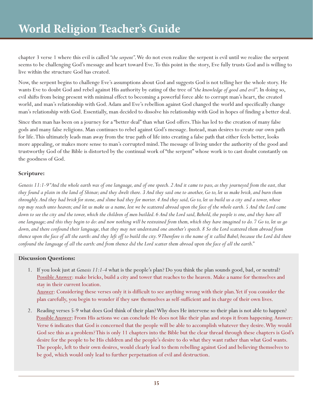chapter 3 verse 1 where this evil is called *"the serpent"*. We do not even realize the serpent is evil until we realize the serpent seems to be challenging God's message and heart toward Eve. To this point in the story, Eve fully trusts God and is willing to live within the structure God has created.

Now, the serpent begins to challenge Eve's assumptions about God and suggests God is not telling her the whole story. He wants Eve to doubt God and rebel against His authority by eating of the tree of *"the knowledge of good and evil"*. In doing so, evil shifts from being present with minimal effect to becoming a powerful force able to corrupt man's heart, the created world, and man's relationship with God. Adam and Eve's rebellion against God changed the world and specifically change man's relationship with God. Essentially, man decided to dissolve his relationship with God in hopes of finding a better deal.

Since then man has been on a journey for a "better deal" than what God offers. This has led to the creation of many false gods and many false religions. Man continues to rebel against God's message. Instead, man desires to create our own path for life. This ultimately leads man away from the true path of life into creating a false path that either feels better, looks more appealing, or makes more sense to man's corrupted mind. The message of living under the authority of the good and trustworthy God of the Bible is distorted by the continual work of "the serpent" whose work is to cast doubt constantly on the goodness of God.

# **Scripture:**

*Genesis 11:1-9 "And the whole earth was of one language, and of one speech. 2 And it came to pass, as they journeyed from the east, that they found a plain in the land of Shinar; and they dwelt there. 3 And they said one to another, Go to, let us make brick, and burn them throughly. And they had brick for stone, and slime had they for morter. 4 And they said, Go to, let us build us a city and a tower, whose top may reach unto heaven; and let us make us a name, lest we be scattered abroad upon the face of the whole earth. 5 And the Lord came down to see the city and the tower, which the children of men builded. 6 And the Lord said, Behold, the people is one, and they have all one language; and this they begin to do: and now nothing will be restrained from them, which they have imagined to do. 7 Go to, let us go down, and there confound their language, that they may not understand one another's speech. 8 So the Lord scattered them abroad from thence upon the face of all the earth: and they left off to build the city. 9 Therefore is the name of it called Babel; because the Lord did there confound the language of all the earth: and from thence did the Lord scatter them abroad upon the face of all the earth."*

# **Discussion Questions:**

- 1. If you look just at *Genesis 11:1-4* what is the people's plan? Do you think the plan sounds good, bad, or neutral? Possible Answer: make bricks, build a city and tower that reaches to the heaven. Make a name for themselves and stay in their current location. Answer: Considering these verses only it is difficult to see anything wrong with their plan. Yet if you consider the plan carefully, you begin to wonder if they saw themselves as self-sufficient and in charge of their own lives.
- 2. Reading verses 5-9 what does God think of their plan? Why does He intervene so their plan is not able to happen? Possible Answer: From His actions we can conclude He does not like their plan and stops it from happening. Answer: Verse 6 indicates that God is concerned that the people will be able to accomplish whatever they desire. Why would God see this as a problem? This is only 11 chapters into the Bible but the clear thread through these chapters is God's desire for the people to be His children and the people's desire to do what they want rather than what God wants. The people, left to their own desires, would clearly lead to them rebelling against God and believing themselves to be god, which would only lead to further perpetuation of evil and destruction.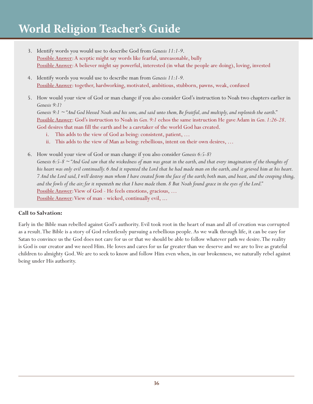- 3. Identify words you would use to describe God from *Genesis 11:1-9*. Possible Answer: A sceptic might say words like fearful, unreasonable, bully Possible Answer: A believer might say powerful, interested (in what the people are doing), loving, invested
- 4. Identify words you would use to describe man from *Genesis 11:1-9.* Possible Answer: together, hardworking, motivated, ambitious, stubborn, pawns, weak, confused
- 5. How would your view of God or man change if you also consider God's instruction to Noah two chapters earlier in *Genesis 9:1*?

*Genesis 9:1 ~ "And God blessed Noah and his sons, and said unto them, Be fruitful, and multiply, and replenish the earth."* Possible Answer: God's instruction to Noah in *Gen. 9:1* echos the same instruction He gave Adam in *Gen. 1:26-28*. God desires that man fill the earth and be a caretaker of the world God has created.

- i. This adds to the view of God as being: consistent, patient, …
- ii. This adds to the view of Man as being: rebellious, intent on their own desires, …
- 6. How would your view of God or man change if you also consider *Genesis 6:5-8*? *Genesis 6:5-8 ~ "And God saw that the wickedness of man was great in the earth, and that every imagination of the thoughts of his heart was only evil continually. 6 And it repented the Lord that he had made man on the earth, and it grieved him at his heart. 7 And the Lord said, I will destroy man whom I have created from the face of the earth; both man, and beast, and the creeping thing, and the fowls of the air; for it repenteth me that I have made them. 8 But Noah found grace in the eyes of the Lord."* Possible Answer: View of God - He feels emotions, gracious, … Possible Answer: View of man - wicked, continually evil, ...

## **Call to Salvation:**

Early in the Bible man rebelled against God's authority. Evil took root in the heart of man and all of creation was corrupted as a result. The Bible is a story of God relentlessly pursuing a rebellious people. As we walk through life, it can be easy for Satan to convince us the God does not care for us or that we should be able to follow whatever path we desire. The reality is God is our creator and we need Him. He loves and cares for us far greater than we deserve and we are to live as grateful children to almighty God. We are to seek to know and follow Him even when, in our brokenness, we naturally rebel against being under His authority.